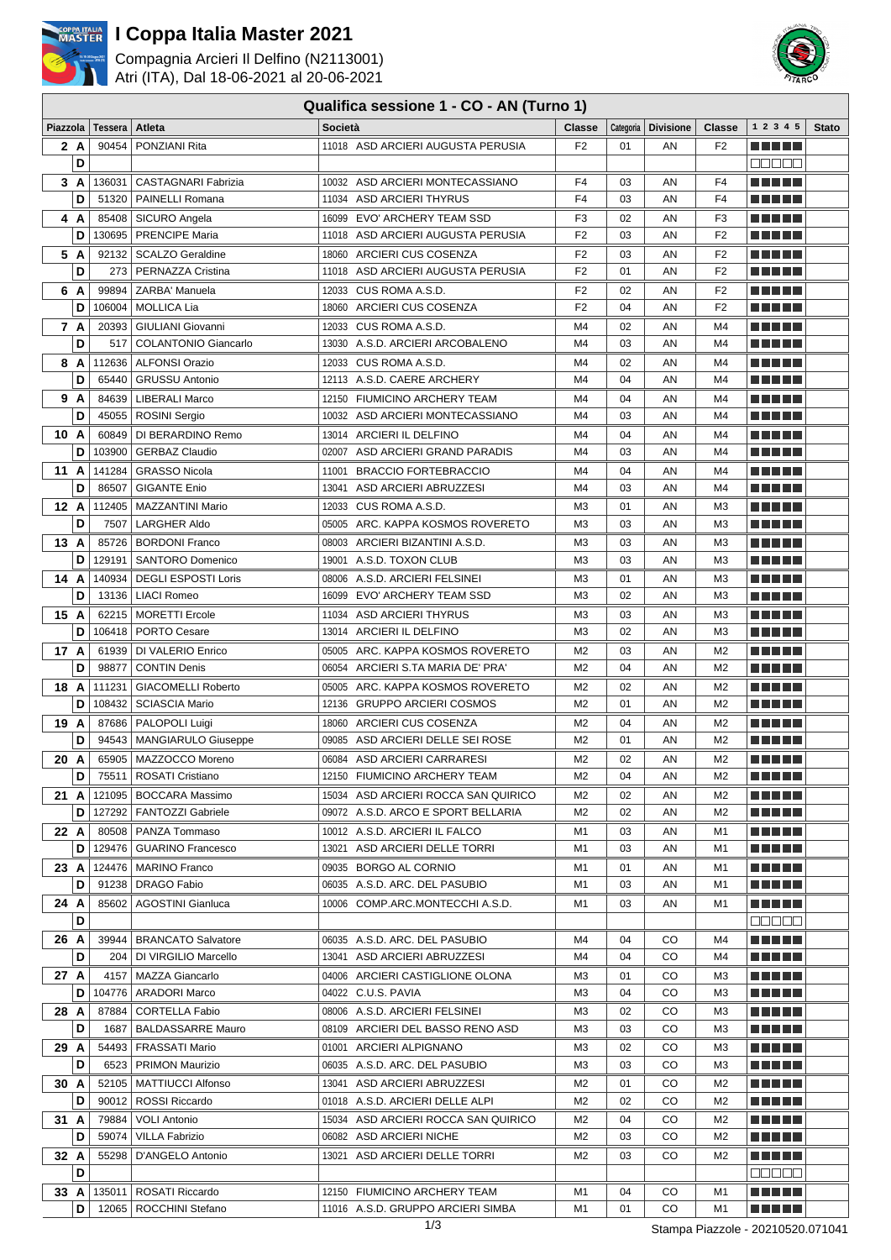

# **I Coppa Italia Master 2021**

Compagnia Arcieri Il Delfino (N2113001) Atri (ITA), Dal 18-06-2021 al 20-06-2021

## **Qualifica sessione 1 - CO - AN (Turno 1)**



|      |     |                             |                                             | Qualifica Sessione T - CO - AN (Turno T) |                |          |                       |                                  |                    |              |
|------|-----|-----------------------------|---------------------------------------------|------------------------------------------|----------------|----------|-----------------------|----------------------------------|--------------------|--------------|
|      |     | Piazzola   Tessera   Atleta |                                             | Società                                  | <b>Classe</b>  |          | Categoria   Divisione | <b>Classe</b>                    | 1 2 3 4 5          | <b>Stato</b> |
|      | 2 A |                             | 90454   PONZIANI Rita                       | 11018 ASD ARCIERI AUGUSTA PERUSIA        | F <sub>2</sub> | 01       | AN                    | F <sub>2</sub>                   | <b>RICH BILLIN</b> |              |
|      | D   |                             |                                             |                                          |                |          |                       |                                  | ME E E E           |              |
|      | 3A  | 136031                      | <b>CASTAGNARI Fabrizia</b>                  | 10032 ASD ARCIERI MONTECASSIANO          | F <sub>4</sub> | 03       | AN                    | F <sub>4</sub>                   | a di kacamatan Ing |              |
|      | D   |                             | 51320   PAINELLI Romana                     | 11034 ASD ARCIERI THYRUS                 | F <sub>4</sub> | 03       | AN                    | F <sub>4</sub>                   |                    |              |
|      | 4 A |                             | 85408   SICURO Angela                       | 16099 EVO' ARCHERY TEAM SSD              | F <sub>3</sub> | 02       | AN                    | F <sub>3</sub>                   | M M M M M          |              |
|      | D   | 130695                      | <b>PRENCIPE Maria</b>                       | 11018 ASD ARCIERI AUGUSTA PERUSIA        | F <sub>2</sub> | 03       | AN                    | F <sub>2</sub>                   | <b>TERRITORIA</b>  |              |
|      |     |                             |                                             |                                          |                |          |                       |                                  |                    |              |
| 5 A  |     | 92132                       | <b>SCALZO Geraldine</b>                     | 18060 ARCIERI CUS COSENZA                | F <sub>2</sub> | 03       | AN                    | F <sub>2</sub>                   | a di kacamatan Ing |              |
|      | D   | 273                         | PERNAZZA Cristina                           | 11018 ASD ARCIERI AUGUSTA PERUSIA        | F <sub>2</sub> | 01       | AN                    | F <sub>2</sub>                   |                    |              |
| 6 A  |     | 99894                       | ZARBA' Manuela                              | 12033 CUS ROMA A.S.D.                    | F <sub>2</sub> | 02       | AN                    | F <sub>2</sub>                   | a di kacamatan Ing |              |
|      | D   | 106004                      | <b>MOLLICA Lia</b>                          | 18060 ARCIERI CUS COSENZA                | F <sub>2</sub> | 04       | AN                    | F <sub>2</sub>                   | n din bir          |              |
| 7 A  |     |                             | 20393   GIULIANI Giovanni                   | 12033 CUS ROMA A.S.D.                    | M4             | 02       | AN                    | M4                               | a di kacamatan Ing |              |
|      | D   | 517                         | <b>COLANTONIO Giancarlo</b>                 | 13030 A.S.D. ARCIERI ARCOBALENO          | M <sub>4</sub> | 03       | AN                    | M <sub>4</sub>                   | M M M M M          |              |
|      | 8 A | 112636                      | ALFONSI Orazio                              | 12033 CUS ROMA A.S.D.                    | M4             | 02       | AN                    | M4                               | M M M M M          |              |
|      | D   | 65440                       | <b>GRUSSU Antonio</b>                       | 12113 A.S.D. CAERE ARCHERY               | M4             | 04       | AN                    | M <sub>4</sub>                   | <b>RICH BILLIN</b> |              |
| 9 A  |     |                             | 84639   LIBERALI Marco                      | 12150 FIUMICINO ARCHERY TEAM             | M4             | 04       | AN                    | M4                               | M M M M M          |              |
|      | D   |                             | 45055   ROSINI Sergio                       | 10032 ASD ARCIERI MONTECASSIANO          | M4             | 03       | AN                    | M <sub>4</sub>                   |                    |              |
| 10 A |     |                             | 60849   DI BERARDINO Remo                   | 13014 ARCIERI IL DELFINO                 | M4             | 04       | AN                    | M <sub>4</sub>                   | <u> El Bertin</u>  |              |
|      | D   | 103900                      | <b>GERBAZ Claudio</b>                       | 02007 ASD ARCIERI GRAND PARADIS          | M <sub>4</sub> | 03       | AN                    | M <sub>4</sub>                   | <b>TERRITORIA</b>  |              |
| 11 A |     |                             | 141284   GRASSO Nicola                      | 11001 BRACCIO FORTEBRACCIO               | M4             | 04       | AN                    | M4                               | a di seb           |              |
|      | D   | 86507                       | <b>GIGANTE Enio</b>                         | 13041 ASD ARCIERI ABRUZZESI              | M4             | 03       | AN                    | M4                               | M M M M M          |              |
|      |     |                             |                                             |                                          |                |          |                       |                                  |                    |              |
| 12 A |     | 112405                      | MAZZANTINI Mario                            | 12033 CUS ROMA A.S.D.                    | MЗ             | 01       | AN                    | M <sub>3</sub>                   | n din bin          |              |
|      | D   | 7507                        | <b>LARGHER Aldo</b>                         | 05005 ARC. KAPPA KOSMOS ROVERETO         | M <sub>3</sub> | 03       | AN                    | M <sub>3</sub>                   | a di kacamatan Ing |              |
| 13 A |     |                             | 85726   BORDONI Franco                      | 08003 ARCIERI BIZANTINI A.S.D.           | MЗ             | 03       | AN                    | M3                               | M M M M M          |              |
|      | D   | 129191                      | <b>SANTORO Domenico</b>                     | 19001 A.S.D. TOXON CLUB                  | MЗ             | 03       | AN                    | M3                               |                    |              |
| 14 A |     |                             | 140934   DEGLI ESPOSTI Loris                | 08006 A.S.D. ARCIERI FELSINEI            | MЗ             | 01       | AN                    | M3                               | M M M M M          |              |
|      | D   | 13136                       | <b>LIACI Romeo</b>                          | 16099 EVO' ARCHERY TEAM SSD              | MЗ             | 02       | AN                    | M3                               | M M M M M          |              |
| 15 A |     |                             | 62215   MORETTI Ercole                      | 11034 ASD ARCIERI THYRUS                 | ΜЗ             | 03       | AN                    | M3                               | <b>RICH BILLIN</b> |              |
|      | D   |                             | 106418   PORTO Cesare                       | 13014 ARCIERI IL DELFINO                 | ΜЗ             | 02       | AN                    | M3                               |                    |              |
| 17 A |     |                             | 61939   DI VALERIO Enrico                   | 05005 ARC. KAPPA KOSMOS ROVERETO         | M <sub>2</sub> | 03       | AN                    | M <sub>2</sub>                   | <b>RICH BILLIN</b> |              |
|      | D   | 98877                       | <b>CONTIN Denis</b>                         | 06054 ARCIERI S.TA MARIA DE' PRA'        | M <sub>2</sub> | 04       | AN                    | M <sub>2</sub>                   |                    |              |
| 18 A |     |                             | 111231   GIACOMELLI Roberto                 | 05005 ARC. KAPPA KOSMOS ROVERETO         | M <sub>2</sub> | 02       | AN                    | M <sub>2</sub>                   | n na m             |              |
|      | D   | 108432                      | <b>SCIASCIA Mario</b>                       | 12136 GRUPPO ARCIERI COSMOS              | M <sub>2</sub> | 01       | AN                    | M <sub>2</sub>                   | <u> La La La</u>   |              |
| 19 A |     |                             | 87686   PALOPOLI Luigi                      | 18060 ARCIERI CUS COSENZA                | M <sub>2</sub> | 04       | AN                    | M <sub>2</sub>                   | n din bin          |              |
|      | D   |                             | 94543   MANGIARULO Giuseppe                 | 09085 ASD ARCIERI DELLE SEI ROSE         | M <sub>2</sub> | 01       | AN                    | M <sub>2</sub>                   | Martin Mar         |              |
|      |     |                             |                                             |                                          | M <sub>2</sub> |          |                       |                                  |                    |              |
| 20 A | D   |                             | 65905   MAZZOCCO Moreno<br>ROSATI Cristiano | 06084 ASD ARCIERI CARRARESI              | M <sub>2</sub> | 02<br>04 | AN<br>AN              | M <sub>2</sub><br>M <sub>2</sub> | <b>RICH BILLIN</b> |              |
|      |     | 75511                       |                                             | 12150 FIUMICINO ARCHERY TEAM             |                |          |                       |                                  | <b>REBER</b>       |              |
|      |     |                             | 21 A   121095   BOCCARA Massimo             | 15034 ASD ARCIERI ROCCA SAN QUIRICO      | M2             | 02       | ΑN                    | M2                               | e de la la         |              |
|      |     |                             | D   127292   FANTOZZI Gabriele              | 09072 A.S.D. ARCO E SPORT BELLARIA       | M2             | 02       | ΑN                    | M2                               | a di kacamatan Ing |              |
| 22 A |     |                             | 80508   PANZA Tommaso                       | 10012 A.S.D. ARCIERI IL FALCO            | M1             | 03       | ΑN                    | M1                               | n din se           |              |
|      | D   |                             | 129476   GUARINO Francesco                  | 13021 ASD ARCIERI DELLE TORRI            | M1             | 03       | ΑN                    | M1                               | <u> Heletik</u>    |              |
|      |     |                             | 23 $A$   124476   MARINO Franco             | 09035 BORGO AL CORNIO                    | M1             | 01       | AN                    | M1                               | a di kacamatan Ing |              |
|      | D   |                             | 91238   DRAGO Fabio                         | 06035 A.S.D. ARC. DEL PASUBIO            | M1             | 03       | ΑN                    | M1                               | <u> La La La</u>   |              |
| 24 A |     |                             | 85602   AGOSTINI Gianluca                   | 10006 COMP.ARC.MONTECCHI A.S.D.          | M1             | 03       | AN                    | M1                               | <u> La La La</u>   |              |
|      | D   |                             |                                             |                                          |                |          |                       |                                  | 88888              |              |
| 26 A |     |                             | 39944   BRANCATO Salvatore                  | 06035 A.S.D. ARC. DEL PASUBIO            | M4             | 04       | CO                    | M4                               | <u> La La La</u>   |              |
|      | D   |                             | 204   DI VIRGILIO Marcello                  | 13041 ASD ARCIERI ABRUZZESI              | M4             | 04       | CO                    | M4                               | <u> La La La</u>   |              |
| 27 A |     |                             | 4157   MAZZA Giancarlo                      | 04006 ARCIERI CASTIGLIONE OLONA          | MЗ             | 01       | CO                    | мз                               | <u> La La La</u>   |              |
|      | D   |                             | 104776   ARADORI Marco                      | 04022 C.U.S. PAVIA                       | MЗ             | 04       | CO                    | MЗ                               | <u> La La La</u>   |              |
| 28 A |     |                             | 87884   CORTELLA Fabio                      | 08006 A.S.D. ARCIERI FELSINEI            | мз             | 02       | CO                    | мз                               | <u> La La La</u>   |              |
|      | D   |                             | 1687   BALDASSARRE Mauro                    | 08109 ARCIERI DEL BASSO RENO ASD         | MЗ             | 03       | CO                    | MЗ                               | <u> La La La</u>   |              |
|      |     |                             |                                             |                                          |                |          |                       |                                  |                    |              |
| 29 A |     |                             | 54493   FRASSATI Mario                      | 01001 ARCIERI ALPIGNANO                  | MЗ             | 02       | CO                    | MЗ                               | ma se s            |              |
|      | D   |                             | 6523   PRIMON Maurizio                      | 06035 A.S.D. ARC. DEL PASUBIO            | MЗ             | 03       | CO                    | M3                               | <u> La La La</u>   |              |
| 30 A |     |                             | 52105   MATTIUCCI Alfonso                   | 13041 ASD ARCIERI ABRUZZESI              | M2             | 01       | CO                    | M2                               | ma se s            |              |
|      | D   |                             | 90012   ROSSI Riccardo                      | 01018 A.S.D. ARCIERI DELLE ALPI          | M <sub>2</sub> | 02       | CO                    | M <sub>2</sub>                   | <u> La La La</u>   |              |
| 31 A |     |                             | 79884   VOLI Antonio                        | 15034 ASD ARCIERI ROCCA SAN QUIRICO      | M2             | 04       | CO                    | M2                               | <u> La La La</u>   |              |
|      | D   |                             | 59074   VILLA Fabrizio                      | 06082 ASD ARCIERI NICHE                  | M2             | 03       | CO                    | M2                               | <u> Here i Her</u> |              |
| 32 A |     |                             | 55298   D'ANGELO Antonio                    | 13021 ASD ARCIERI DELLE TORRI            | M2             | 03       | CO                    | M2                               | <u> La La La</u>   |              |
|      | D   |                             |                                             |                                          |                |          |                       |                                  | <b>DODBO</b>       |              |
|      |     |                             | 33 A   135011   ROSATI Riccardo             | 12150 FIUMICINO ARCHERY TEAM             | M1             | 04       | CO                    | M1                               | <u> El El El E</u> |              |
|      | D   |                             | 12065   ROCCHINI Stefano                    | 11016 A.S.D. GRUPPO ARCIERI SIMBA        | M1             | 01       | CO                    | M1                               | e se se            |              |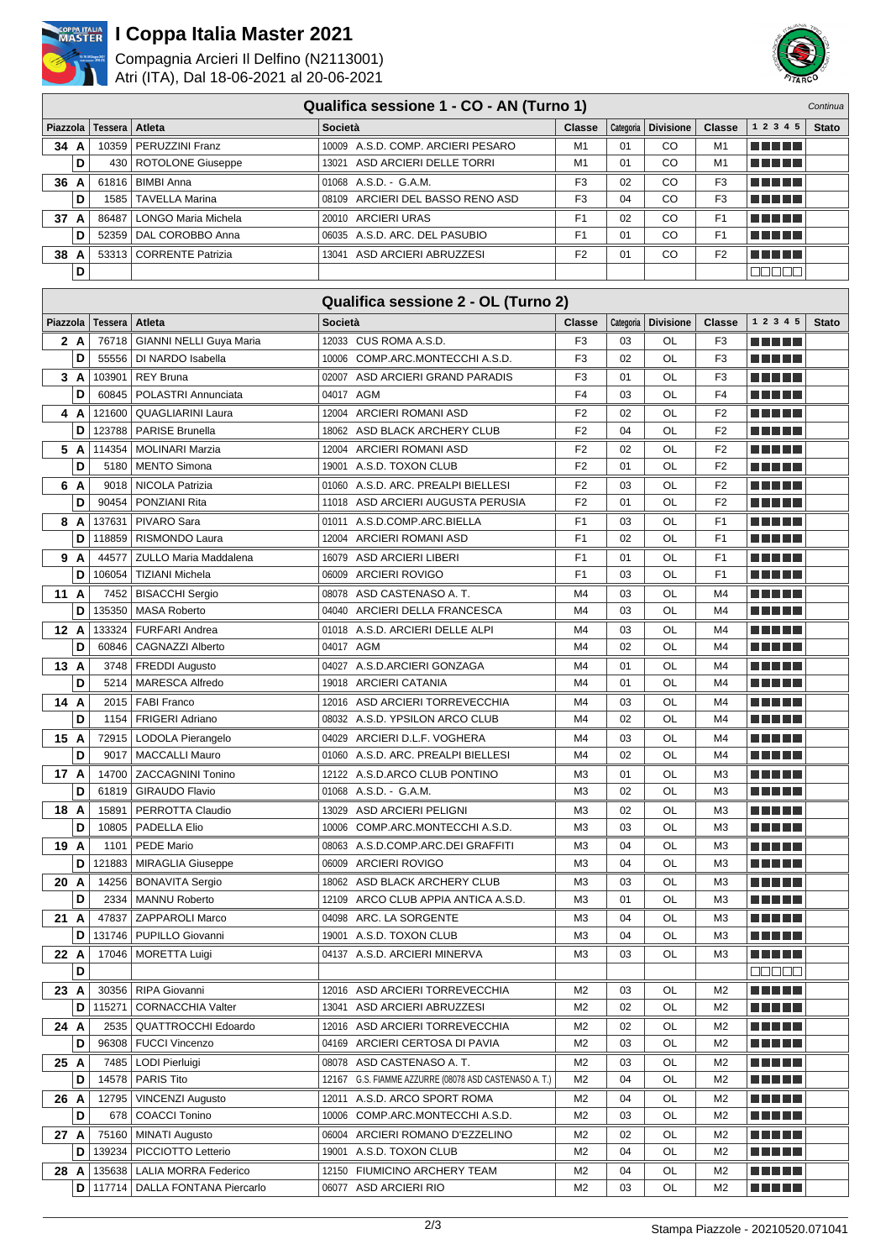

# **I Coppa Italia Master 2021**

Compagnia Arcieri Il Delfino (N2113001) Atri (ITA), Dal 18-06-2021 al 20-06-2021



| Piazzola  | Tessera        | Atleta                                   | Società                                                             | <b>Classe</b>        |           | Categoria   Divisione | <b>Classe</b>        | 1 2 3 4 5                     | <b>Stato</b> |
|-----------|----------------|------------------------------------------|---------------------------------------------------------------------|----------------------|-----------|-----------------------|----------------------|-------------------------------|--------------|
| 34 A      | 10359          | <b>PERUZZINI Franz</b>                   | 10009 A.S.D. COMP. ARCIERI PESARO                                   | M1                   | 01        | CO                    | M1                   | m minimi                      |              |
| D         |                | 430   ROTOLONE Giuseppe                  | 13021 ASD ARCIERI DELLE TORRI                                       | M1                   | 01        | CO                    | M <sub>1</sub>       |                               |              |
| 36 A      |                | 61816   BIMBI Anna                       | 01068 A.S.D. - G.A.M.                                               | F <sub>3</sub>       | 02        | CO                    | F3                   | <u> Literatur</u>             |              |
| D         | 1585           | <b>TAVELLA Marina</b>                    | 08109 ARCIERI DEL BASSO RENO ASD                                    | F <sub>3</sub>       | 04        | CO                    | F <sub>3</sub>       |                               |              |
| 37 A      | 86487          | LONGO Maria Michela                      | 20010 ARCIERI URAS                                                  | F <sub>1</sub>       | 02        | CO                    | F <sub>1</sub>       | <u> La La La</u>              |              |
| D         | 52359          | DAL COROBBO Anna                         | 06035 A.S.D. ARC. DEL PASUBIO                                       | F1                   | 01        | CO                    | F <sub>1</sub>       | <u> Literatur</u>             |              |
| 38 A      |                | 53313 CORRENTE Patrizia                  | 13041 ASD ARCIERI ABRUZZESI                                         | F <sub>2</sub>       | 01        | CO                    | F <sub>2</sub>       | a da da b                     |              |
| D         |                |                                          |                                                                     |                      |           |                       |                      | an da a                       |              |
|           |                |                                          |                                                                     |                      |           |                       |                      |                               |              |
|           |                |                                          | Qualifica sessione 2 - OL (Turno 2)                                 |                      |           |                       |                      |                               |              |
| Piazzola  | <b>Tessera</b> | <b>Atleta</b>                            | <b>Società</b>                                                      | Classe               | Categoria | <b>Divisione</b>      | <b>Classe</b>        | 1 2 3 4 5                     | <b>Stato</b> |
| 2 A       | 76718          | GIANNI NELLI Guya Maria                  | 12033 CUS ROMA A.S.D.                                               | F <sub>3</sub>       | 03        | OL                    | F3                   |                               |              |
| D         |                | 55556   DI NARDO Isabella                | 10006 COMP.ARC.MONTECCHI A.S.D.                                     | F <sub>3</sub>       | 02        | OL                    | F <sub>3</sub>       | .                             |              |
| 3A        | 103901         | <b>REY Bruna</b>                         | 02007 ASD ARCIERI GRAND PARADIS                                     | F3                   | 01        | OL                    | F3                   |                               |              |
| D         | 60845          | POLASTRI Annunciata                      | 04017 AGM                                                           | F <sub>4</sub>       | 03        | OL                    | F <sub>4</sub>       |                               |              |
| 4 A       | 121600         | <b>QUAGLIARINI Laura</b>                 | 12004 ARCIERI ROMANI ASD                                            | F <sub>2</sub>       | 02        | OL                    | F <sub>2</sub>       | n Album                       |              |
| D         | 123788         | <b>PARISE Brunella</b>                   | 18062 ASD BLACK ARCHERY CLUB                                        | F <sub>2</sub>       | 04        | OL                    | F <sub>2</sub>       |                               |              |
| 5 A       | 114354         | MOLINARI Marzia                          | 12004 ARCIERI ROMANI ASD                                            | F <sub>2</sub>       | 02        | OL                    | F <sub>2</sub>       |                               |              |
| D         |                | 5180   MENTO Simona                      | 19001 A.S.D. TOXON CLUB                                             | F <sub>2</sub>       | 01        | OL                    | F <sub>2</sub>       |                               |              |
| 6 A       | 9018           | NICOLA Patrizia                          | 01060 A.S.D. ARC. PREALPI BIELLESI                                  | F <sub>2</sub>       | 03        | OL                    | F <sub>2</sub>       |                               |              |
| D         | 90454          | PONZIANI Rita                            | 11018 ASD ARCIERI AUGUSTA PERUSIA                                   | F <sub>2</sub>       | 01        | OL                    | F <sub>2</sub>       | ma mata                       |              |
| 8 A       | 137631         | PIVARO Sara                              | 01011 A.S.D.COMP.ARC.BIELLA                                         | F1                   | 03        | OL                    | F <sub>1</sub>       |                               |              |
| D         | 118859         | RISMONDO Laura                           | 12004 ARCIERI ROMANI ASD                                            | F <sub>1</sub>       | 02        | OL                    | F <sub>1</sub>       |                               |              |
| 9 A       | 44577          | ZULLO Maria Maddalena                    | 16079 ASD ARCIERI LIBERI                                            | F1                   | 01        | OL                    | F1                   |                               |              |
| D         | 106054         | TIZIANI Michela                          | 06009 ARCIERI ROVIGO                                                | F <sub>1</sub>       | 03        | OL                    | F <sub>1</sub>       |                               |              |
| 11 A      | 7452           | <b>BISACCHI Sergio</b>                   | 08078 ASD CASTENASO A.T.                                            | M4                   | 03        | OL                    | M4                   |                               |              |
| D         | 135350         | <b>MASA Roberto</b>                      | 04040 ARCIERI DELLA FRANCESCA                                       | M4                   | 03        | OL                    | M4                   |                               |              |
| 12 A      | 133324         | FURFARI Andrea                           | 01018 A.S.D. ARCIERI DELLE ALPI                                     | M4                   | 03        | OL                    | M4                   |                               |              |
| D         | 60846          | CAGNAZZI Alberto                         | 04017 AGM                                                           | M <sub>4</sub>       | 02        | OL                    | M4                   | n Album                       |              |
| 13 A      |                |                                          | 04027 A.S.D.ARCIERI GONZAGA                                         | M4                   | 01        | OL                    | M4                   |                               |              |
| D         | 5214           | 3748   FREDDI Augusto<br>MARESCA Alfredo | 19018 ARCIERI CATANIA                                               | M4                   | 01        | OL                    | M4                   | m in Film                     |              |
|           |                |                                          |                                                                     |                      |           |                       |                      |                               |              |
| 14 A<br>D |                | 2015   FABI Franco<br>FRIGERI Adriano    | 12016 ASD ARCIERI TORREVECCHIA<br>08032 A.S.D. YPSILON ARCO CLUB    | M4<br>M4             | 03<br>02  | OL<br>OL              | M4<br>M4             | ma mata                       |              |
|           | 1154           |                                          |                                                                     |                      |           |                       |                      | n Ali Vie                     |              |
| 15 A<br>D |                | 72915   LODOLA Pierangelo                | 04029 ARCIERI D.L.F. VOGHERA                                        | M4                   | 03        | OL                    | M4                   | ma mata                       |              |
|           | 9017           | MACCALLI Mauro                           | 01060 A.S.D. ARC. PREALPI BIELLESI                                  | M4                   | 02        | OL                    | M4                   |                               |              |
| 17 A<br>D |                | 14700 ZACCAGNINI Tonino                  | 12122 A.S.D.ARCO CLUB PONTINO                                       | M3<br>M <sub>3</sub> | 01<br>02  | OL                    | M3                   | <u> El Bratalho de la </u>    |              |
|           |                | 61819   GIRAUDO Flavio                   | 01068 A.S.D. - G.A.M.                                               |                      |           | OL                    | M3                   | <u> El El El E</u>            |              |
| 18 A<br>D | 15891<br>10805 | PERROTTA Claudio                         | 13029 ASD ARCIERI PELIGNI                                           | MЗ<br>M3             | 02<br>03  | OL                    | MЗ<br>M3             | <u> La La La</u>              |              |
|           |                | <b>PADELLA Elio</b>                      | 10006 COMP.ARC.MONTECCHI A.S.D.                                     |                      |           | OL                    |                      | <u> Literatur</u>             |              |
| 19 A      | 1101           | <b>PEDE Mario</b>                        | 08063 A.S.D.COMP.ARC.DEI GRAFFITI                                   | M3                   | 04        | OL                    | M3                   | a da da d                     |              |
| D         | 121883         | <b>MIRAGLIA Giuseppe</b>                 | 06009 ARCIERI ROVIGO                                                | M <sub>3</sub>       | 04        | OL                    | MЗ                   | <u> El Bratalho de la </u>    |              |
| 20 A      | 14256          | <b>BONAVITA Sergio</b>                   | 18062 ASD BLACK ARCHERY CLUB<br>12109 ARCO CLUB APPIA ANTICA A.S.D. | M <sub>3</sub>       | 03<br>01  | OL                    | M3<br>M <sub>3</sub> | a da da d                     |              |
| D         | 2334           | <b>MANNU Roberto</b>                     |                                                                     | M <sub>3</sub>       |           | OL                    |                      | <u> El Bratalho de la </u>    |              |
| 21 A      | 47837          | <b>ZAPPAROLI Marco</b>                   | 04098 ARC. LA SORGENTE                                              | M <sub>3</sub>       | 04        | OL                    | M3                   | M M M M M                     |              |
| D         |                | 131746   PUPILLO Giovanni                | 19001 A.S.D. TOXON CLUB                                             | M <sub>3</sub>       | 04        | OL                    | M3                   | <u> Literatur</u>             |              |
| 22 A      |                | 17046   MORETTA Luigi                    | 04137 A.S.D. ARCIERI MINERVA                                        | M3                   | 03        | OL                    | M3                   | a da da b                     |              |
| D         |                |                                          |                                                                     |                      |           |                       |                      | 00000                         |              |
| 23 A      |                | 30356   RIPA Giovanni                    | 12016 ASD ARCIERI TORREVECCHIA                                      | M2                   | 03        | OL                    | M <sub>2</sub>       | ME NE L                       |              |
| D         | 115271         | <b>CORNACCHIA Valter</b>                 | 13041<br>ASD ARCIERI ABRUZZESI                                      | M <sub>2</sub>       | 02        | OL                    | M <sub>2</sub>       | <u> El Bratalho de la </u>    |              |
| 24 A      | 2535           | <b>QUATTROCCHI Edoardo</b>               | 12016 ASD ARCIERI TORREVECCHIA                                      | M <sub>2</sub>       | 02        | OL                    | M <sub>2</sub>       | ME NE S                       |              |
| D         | 96308          | <b>FUCCI Vincenzo</b>                    | 04169 ARCIERI CERTOSA DI PAVIA                                      | M <sub>2</sub>       | 03        | OL                    | M <sub>2</sub>       | <u> El Bratalho de la </u>    |              |
| 25 A      | 7485           | LODI Pierluigi                           | 08078 ASD CASTENASO A.T.                                            | M <sub>2</sub>       | 03        | OL                    | M <sub>2</sub>       | <u> El Bratalho de la </u>    |              |
| D         | 14578          | <b>PARIS Tito</b>                        | 12167 G.S. FIAMME AZZURRE (08078 ASD CASTENASO A. T.)               | M <sub>2</sub>       | 04        | OL                    | M <sub>2</sub>       | a da da d                     |              |
| 26 A      | 12795          | <b>VINCENZI Augusto</b>                  | A.S.D. ARCO SPORT ROMA<br>12011                                     | M <sub>2</sub>       | 04        | OL                    | M <sub>2</sub>       | <u> El Bibliotto de la Ba</u> |              |
| D         | 678            | <b>COACCI Tonino</b>                     | 10006 COMP.ARC.MONTECCHI A.S.D.                                     | M <sub>2</sub>       | 03        | OL                    | M <sub>2</sub>       | a da da d                     |              |
| 27 A      |                | 75160   MINATI Augusto                   | 06004 ARCIERI ROMANO D'EZZELINO                                     | M <sub>2</sub>       | 02        | OL                    | M <sub>2</sub>       | <u> El Bibliotto de la Ba</u> |              |
| D         | 139234         | PICCIOTTO Letterio                       | 19001 A.S.D. TOXON CLUB                                             | M <sub>2</sub>       | 04        | OL                    | M <sub>2</sub>       | <u>BEBEL</u>                  |              |
| 28 A      |                | 135638   LALIA MORRA Federico            | 12150 FIUMICINO ARCHERY TEAM                                        | M <sub>2</sub>       | 04        | OL                    | M <sub>2</sub>       | a da da b                     |              |
|           |                | D   117714   DALLA FONTANA Piercarlo     | 06077 ASD ARCIERI RIO                                               | M2                   | 03        | OL                    | M <sub>2</sub>       | a da da d                     |              |

**Qualifica sessione 1 - CO - AN (Turno 1)**